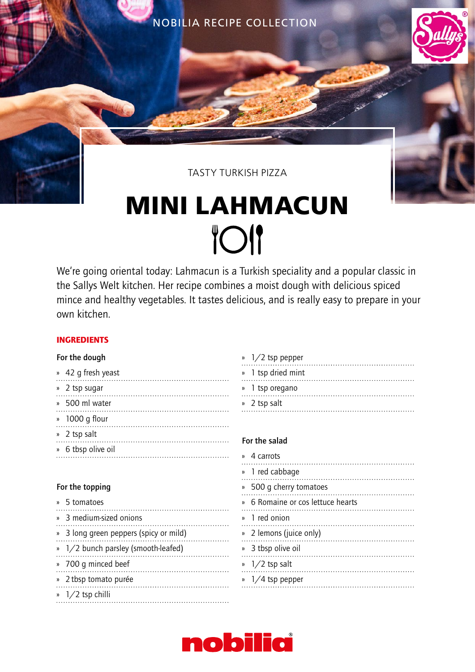NOBILIA RECIPE COLLECTION



## TASTY TURKISH PIZZA

# **MINI LAHMACUN TOI**

We're going oriental today: Lahmacun is a Turkish speciality and a popular classic in the Sallys Welt kitchen. Her recipe combines a moist dough with delicious spiced mince and healthy vegetables. It tastes delicious, and is really easy to prepare in your own kitchen.

### INGREDIENTS

#### For the dough

| » 42 q fresh yeast |
|--------------------|
| » 2 tsp sugar      |
| » 500 ml water     |
| » 1000 g flour     |
| » 2 tsp salt       |
| » 6 tbsp olive oil |
|                    |

#### For the topping

| » 5 tomatoes                           |
|----------------------------------------|
| » 3 medium-sized onions                |
| » 3 long green peppers (spicy or mild) |
| » 1/2 bunch parsley (smooth-leafed)    |
| » 700 g minced beef                    |
| » 2 tbsp tomato purée                  |
| $\frac{1}{2}$ tsp chilli               |

| $\frac{1}{2}$ tsp pepper |
|--------------------------|
| » 1 tsp dried mint       |
| » 1 tsp oregano          |
| » 2 tsp salt             |
|                          |

#### For the salad

| » 4 carrots                       |
|-----------------------------------|
| » 1 red cabbage                   |
| » 500 q cherry tomatoes           |
| » 6 Romaine or cos lettuce hearts |
| » 1 red onion                     |
| » 2 lemons (juice only)           |
| » 3 tbsp olive oil                |
| $\frac{1}{2}$ tsp salt            |
| $\frac{1}{4}$ tsp pepper          |